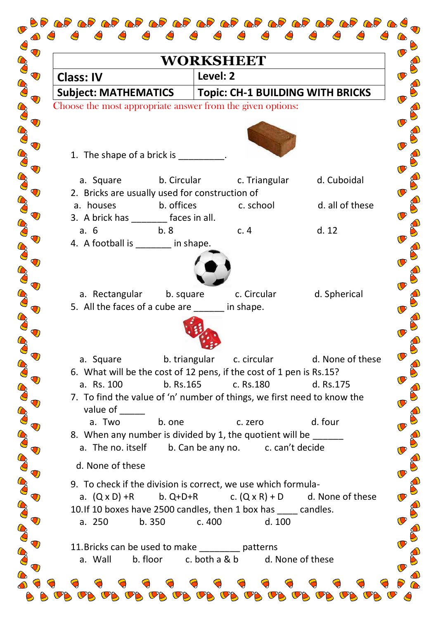| <b>WORKSHEET</b>                                                                 |                                                                      |                 |  |
|----------------------------------------------------------------------------------|----------------------------------------------------------------------|-----------------|--|
| <b>Class: IV</b>                                                                 | Level: 2                                                             |                 |  |
| Subject: MATHEMATICS   Topic: CH-1 BUILDING WITH BRICKS                          |                                                                      |                 |  |
| Choose the most appropriate answer from the given options:                       |                                                                      |                 |  |
|                                                                                  |                                                                      |                 |  |
|                                                                                  |                                                                      |                 |  |
| 1. The shape of a brick is $\frac{1}{\sqrt{1-\frac{1}{2}}}\cdot$                 |                                                                      |                 |  |
| a. Square                                                                        | b. Circular c. Triangular d. Cuboidal                                |                 |  |
| 2. Bricks are usually used for construction of                                   |                                                                      |                 |  |
| b. offices<br>a. houses                                                          | c. school                                                            | d. all of these |  |
| 3. A brick has ________ faces in all.                                            |                                                                      |                 |  |
| a.6<br>b.8<br>4. A football is _______ in shape.                                 | c.4                                                                  | d. 12           |  |
|                                                                                  |                                                                      |                 |  |
|                                                                                  |                                                                      |                 |  |
|                                                                                  |                                                                      |                 |  |
| a. Rectangular b. square<br>5. All the faces of a cube are _____ in shape.       | c. Circular                                                          | d. Spherical    |  |
|                                                                                  |                                                                      |                 |  |
|                                                                                  |                                                                      |                 |  |
|                                                                                  |                                                                      |                 |  |
| a. Square<br>6. What will be the cost of 12 pens, if the cost of 1 pen is Rs.15? | c. circular d. None of these<br>b. triangular                        |                 |  |
| a. Rs. 100<br>b. Rs.165                                                          | c. Rs.180                                                            | d. Rs.175       |  |
| 7. To find the value of 'n' number of things, we first need to know the          |                                                                      |                 |  |
| value of                                                                         |                                                                      |                 |  |
| b. one<br>a. Two<br>8. When any number is divided by 1, the quotient will be     | c. zero                                                              | d. four         |  |
| a. The no. itself                                                                | b. Can be any no. c. can't decide                                    |                 |  |
| d. None of these                                                                 |                                                                      |                 |  |
| 9. To check if the division is correct, we use which formula-                    |                                                                      |                 |  |
|                                                                                  | a. $(Q \times D)$ +R b. Q+D+R c. $(Q \times R)$ + D d. None of these |                 |  |
| 10. If 10 boxes have 2500 candles, then 1 box has _____ candles.                 |                                                                      |                 |  |
| b.350<br>a. 250                                                                  | c. 400<br>d. 100                                                     |                 |  |
| 11. Bricks can be used to make _________ patterns                                |                                                                      |                 |  |
| b. floor<br>a. Wall                                                              | c. both a & b<br>d. None of these                                    |                 |  |